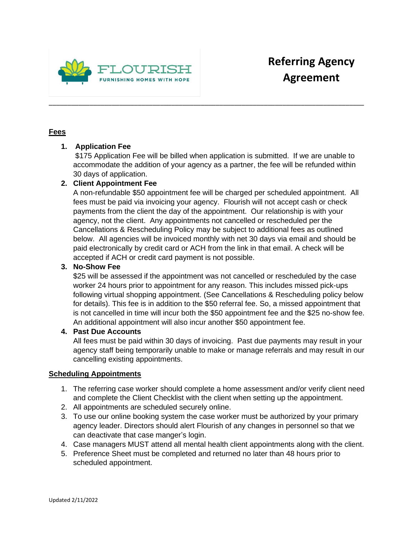

## **Fees**

# **1. Application Fee**

\$175 Application Fee will be billed when application is submitted. If we are unable to accommodate the addition of your agency as a partner, the fee will be refunded within 30 days of application.

\_\_\_\_\_\_\_\_\_\_\_\_\_\_\_\_\_\_\_\_\_\_\_\_\_\_\_\_\_\_\_\_\_\_\_\_\_\_\_\_\_\_\_\_\_\_\_\_\_\_\_\_\_\_\_\_\_\_\_\_\_\_\_\_\_\_\_\_\_\_\_\_\_\_\_\_\_\_\_\_\_\_\_\_\_

# **2. Client Appointment Fee**

A non-refundable \$50 appointment fee will be charged per scheduled appointment. All fees must be paid via invoicing your agency. Flourish will not accept cash or check payments from the client the day of the appointment. Our relationship is with your agency, not the client. Any appointments not cancelled or rescheduled per the Cancellations & Rescheduling Policy may be subject to additional fees as outlined below. All agencies will be invoiced monthly with net 30 days via email and should be paid electronically by credit card or ACH from the link in that email. A check will be accepted if ACH or credit card payment is not possible.

## **3. No-Show Fee**

\$25 will be assessed if the appointment was not cancelled or rescheduled by the case worker 24 hours prior to appointment for any reason. This includes missed pick-ups following virtual shopping appointment. (See Cancellations & Rescheduling policy below for details). This fee is in addition to the \$50 referral fee. So, a missed appointment that is not cancelled in time will incur both the \$50 appointment fee and the \$25 no-show fee. An additional appointment will also incur another \$50 appointment fee.

### **4. Past Due Accounts**

All fees must be paid within 30 days of invoicing. Past due payments may result in your agency staff being temporarily unable to make or manage referrals and may result in our cancelling existing appointments.

### **Scheduling Appointments**

- 1. The referring case worker should complete a home assessment and/or verify client need and complete the Client Checklist with the client when setting up the appointment.
- 2. All appointments are scheduled securely online.
- 3. To use our online booking system the case worker must be authorized by your primary agency leader. Directors should alert Flourish of any changes in personnel so that we can deactivate that case manger's login.
- 4. Case managers MUST attend all mental health client appointments along with the client.
- 5. Preference Sheet must be completed and returned no later than 48 hours prior to scheduled appointment.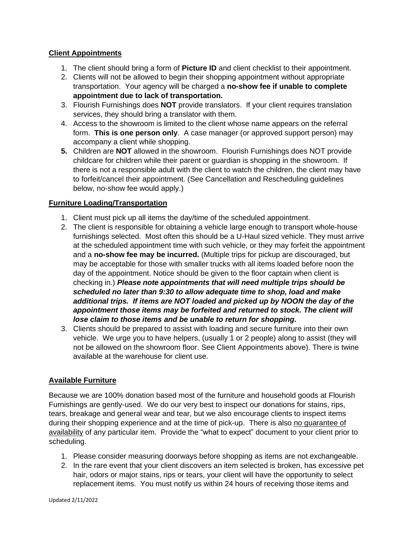### **Client Appointments**

- 1. The client should bring a form of **Picture ID** and client checklist to their appointment.
- 2. Clients will not be allowed to begin their shopping appointment without appropriate transportation. Your agency will be charged a **no-show fee if unable to complete appointment due to lack of transportation.**
- 3. Flourish Furnishings does **NOT** provide translators. If your client requires translation services, they should bring a translator with them.
- 4. Access to the showroom is limited to the client whose name appears on the referral form. **This is one person only**. A case manager (or approved support person) may accompany a client while shopping.
- **5.** Children are **NOT** allowed in the showroom. Flourish Furnishings does NOT provide childcare for children while their parent or guardian is shopping in the showroom. If there is not a responsible adult with the client to watch the children, the client may have to forfeit/cancel their appointment. (See Cancellation and Rescheduling guidelines below, no-show fee would apply.)

# **Furniture Loading/Transportation**

- 1. Client must pick up all items the day/time of the scheduled appointment.
- 2. The client is responsible for obtaining a vehicle large enough to transport whole-house furnishings selected. Most often this should be a U-Haul sized vehicle. They must arrive at the scheduled appointment time with such vehicle, or they may forfeit the appointment and a **no-show fee may be incurred.** (Multiple trips for pickup are discouraged, but may be acceptable for those with smaller trucks with all items loaded before noon the day of the appointment. Notice should be given to the floor captain when client is checking in.) *Please note appointments that will need multiple trips should be scheduled no later than 9:30 to allow adequate time to shop, load and make additional trips. If items are NOT loaded and picked up by NOON the day of the appointment those items may be forfeited and returned to stock. The client will lose claim to those items and be unable to return for shopping.*
- 3. Clients should be prepared to assist with loading and secure furniture into their own vehicle. We urge you to have helpers, (usually 1 or 2 people) along to assist (they will not be allowed on the showroom floor. See Client Appointments above). There is twine available at the warehouse for client use.

### **Available Furniture**

Because we are 100% donation based most of the furniture and household goods at Flourish Furnishings are gently-used. We do our very best to inspect our donations for stains, rips, tears, breakage and general wear and tear, but we also encourage clients to inspect items during their shopping experience and at the time of pick-up. There is also no guarantee of availability of any particular item. Provide the "what to expect" document to your client prior to scheduling.

- 1. Please consider measuring doorways before shopping as items are not exchangeable.
- 2. In the rare event that your client discovers an item selected is broken, has excessive pet hair, odors or major stains, rips or tears, your client will have the opportunity to select replacement items. You must notify us within 24 hours of receiving those items and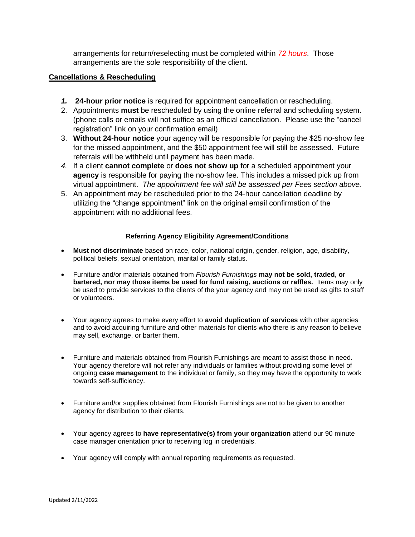arrangements for return/reselecting must be completed within *72 hours*. Those arrangements are the sole responsibility of the client.

#### **Cancellations & Rescheduling**

- *1.* **24-hour prior notice** is required for appointment cancellation or rescheduling.
- 2. Appointments **must** be rescheduled by using the online referral and scheduling system. (phone calls or emails will not suffice as an official cancellation. Please use the "cancel registration" link on your confirmation email)
- 3. **Without 24-hour notice** your agency will be responsible for paying the \$25 no-show fee for the missed appointment, and the \$50 appointment fee will still be assessed. Future referrals will be withheld until payment has been made.
- *4.* If a client **cannot complete** or **does not show up** for a scheduled appointment your **agency** is responsible for paying the no-show fee. This includes a missed pick up from virtual appointment. *The appointment fee will still be assessed per Fees section above.*
- 5. An appointment may be rescheduled prior to the 24-hour cancellation deadline by utilizing the "change appointment" link on the original email confirmation of the appointment with no additional fees.

#### **Referring Agency Eligibility Agreement/Conditions**

- **Must not discriminate** based on race, color, national origin, gender, religion, age, disability, political beliefs, sexual orientation, marital or family status.
- Furniture and/or materials obtained from *Flourish Furnishings* **may not be sold, traded, or bartered, nor may those items be used for fund raising, auctions or raffles.** Items may only be used to provide services to the clients of the your agency and may not be used as gifts to staff or volunteers.
- Your agency agrees to make every effort to **avoid duplication of services** with other agencies and to avoid acquiring furniture and other materials for clients who there is any reason to believe may sell, exchange, or barter them.
- Furniture and materials obtained from Flourish Furnishings are meant to assist those in need. Your agency therefore will not refer any individuals or families without providing some level of ongoing **case management** to the individual or family, so they may have the opportunity to work towards self-sufficiency.
- Furniture and/or supplies obtained from Flourish Furnishings are not to be given to another agency for distribution to their clients.
- Your agency agrees to **have representative(s) from your organization** attend our 90 minute case manager orientation prior to receiving log in credentials.
- Your agency will comply with annual reporting requirements as requested.